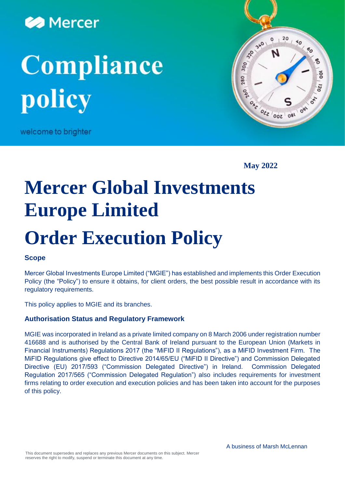

# **Compliance** policy

welcome to brighter



**May 2022**

# **Mercer Global Investments Europe Limited Order Execution Policy**

# **Scope**

Mercer Global Investments Europe Limited ("MGIE") has established and implements this Order Execution Policy (the "Policy") to ensure it obtains, for client orders, the best possible result in accordance with its regulatory requirements.

This policy applies to MGIE and its branches.

#### **Authorisation Status and Regulatory Framework**

MGIE was incorporated in Ireland as a private limited company on 8 March 2006 under registration number 416688 and is authorised by the Central Bank of Ireland pursuant to the European Union (Markets in Financial Instruments) Regulations 2017 (the "MiFID II Regulations"), as a MiFID Investment Firm. The MiFID Regulations give effect to Directive 2014/65/EU ("MiFID II Directive") and Commission Delegated Directive (EU) 2017/593 ("Commission Delegated Directive") in Ireland. Commission Delegated Regulation 2017/565 ("Commission Delegated Regulation") also includes requirements for investment firms relating to order execution and execution policies and has been taken into account for the purposes of this policy.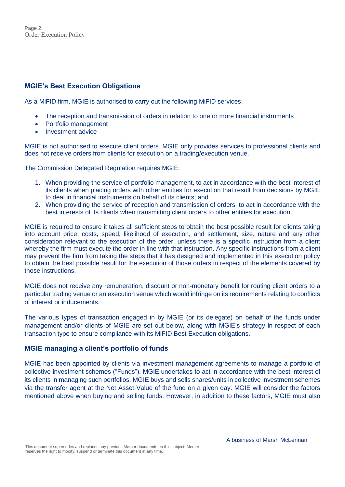## **MGIE's Best Execution Obligations**

As a MiFID firm, MGIE is authorised to carry out the following MiFID services:

- The reception and transmission of orders in relation to one or more financial instruments
- Portfolio management
- Investment advice

MGIE is not authorised to execute client orders. MGIE only provides services to professional clients and does not receive orders from clients for execution on a trading/execution venue.

The Commission Delegated Regulation requires MGIE:

- 1. When providing the service of portfolio management, to act in accordance with the best interest of its clients when placing orders with other entities for execution that result from decisions by MGIE to deal in financial instruments on behalf of its clients; and
- 2. When providing the service of reception and transmission of orders, to act in accordance with the best interests of its clients when transmitting client orders to other entities for execution.

MGIE is required to ensure it takes all sufficient steps to obtain the best possible result for clients taking into account price, costs, speed, likelihood of execution, and settlement, size, nature and any other consideration relevant to the execution of the order, unless there is a specific instruction from a client whereby the firm must execute the order in line with that instruction. Any specific instructions from a client may prevent the firm from taking the steps that it has designed and implemented in this execution policy to obtain the best possible result for the execution of those orders in respect of the elements covered by those instructions.

MGIE does not receive any remuneration, discount or non-monetary benefit for routing client orders to a particular trading venue or an execution venue which would infringe on its requirements relating to conflicts of interest or inducements.

The various types of transaction engaged in by MGIE (or its delegate) on behalf of the funds under management and/or clients of MGIE are set out below, along with MGIE's strategy in respect of each transaction type to ensure compliance with its MiFID Best Execution obligations.

#### **MGIE managing a client's portfolio of funds**

MGIE has been appointed by clients via investment management agreements to manage a portfolio of collective investment schemes ("Funds"). MGIE undertakes to act in accordance with the best interest of its clients in managing such portfolios. MGIE buys and sells shares/units in collective investment schemes via the transfer agent at the Net Asset Value of the fund on a given day. MGIE will consider the factors mentioned above when buying and selling funds. However, in addition to these factors, MGIE must also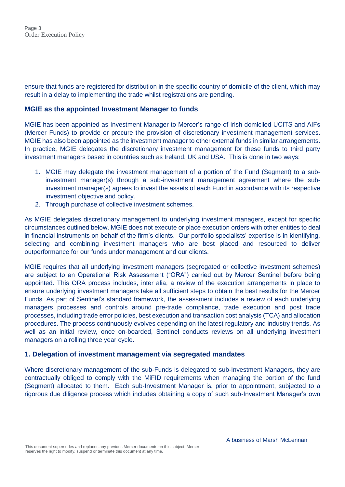ensure that funds are registered for distribution in the specific country of domicile of the client, which may result in a delay to implementing the trade whilst registrations are pending.

#### **MGIE as the appointed Investment Manager to funds**

MGIE has been appointed as Investment Manager to Mercer's range of Irish domiciled UCITS and AIFs (Mercer Funds) to provide or procure the provision of discretionary investment management services. MGIE has also been appointed as the investment manager to other external funds in similar arrangements. In practice, MGIE delegates the discretionary investment management for these funds to third party investment managers based in countries such as Ireland, UK and USA. This is done in two ways:

- 1. MGIE may delegate the investment management of a portion of the Fund (Segment) to a subinvestment manager(s) through a sub-investment management agreement where the subinvestment manager(s) agrees to invest the assets of each Fund in accordance with its respective investment objective and policy.
- 2. Through purchase of collective investment schemes.

As MGIE delegates discretionary management to underlying investment managers, except for specific circumstances outlined below, MGIE does not execute or place execution orders with other entities to deal in financial instruments on behalf of the firm's clients. Our portfolio specialists' expertise is in identifying, selecting and combining investment managers who are best placed and resourced to deliver outperformance for our funds under management and our clients.

MGIE requires that all underlying investment managers (segregated or collective investment schemes) are subject to an Operational Risk Assessment ("ORA") carried out by Mercer Sentinel before being appointed. This ORA process includes, inter alia, a review of the execution arrangements in place to ensure underlying investment managers take all sufficient steps to obtain the best results for the Mercer Funds. As part of Sentinel's standard framework, the assessment includes a review of each underlying managers processes and controls around pre-trade compliance, trade execution and post trade processes, including trade error policies, best execution and transaction cost analysis (TCA) and allocation procedures. The process continuously evolves depending on the latest regulatory and industry trends. As well as an initial review, once on-boarded, Sentinel conducts reviews on all underlying investment managers on a rolling three year cycle.

#### **1. Delegation of investment management via segregated mandates**

Where discretionary management of the sub-Funds is delegated to sub-Investment Managers, they are contractually obliged to comply with the MiFID requirements when managing the portion of the fund (Segment) allocated to them. Each sub-Investment Manager is, prior to appointment, subjected to a rigorous due diligence process which includes obtaining a copy of such sub-Investment Manager's own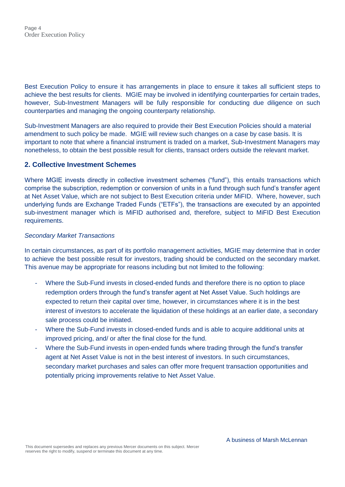Best Execution Policy to ensure it has arrangements in place to ensure it takes all sufficient steps to achieve the best results for clients. MGIE may be involved in identifying counterparties for certain trades, however, Sub-Investment Managers will be fully responsible for conducting due diligence on such counterparties and managing the ongoing counterparty relationship.

Sub-Investment Managers are also required to provide their Best Execution Policies should a material amendment to such policy be made. MGIE will review such changes on a case by case basis. It is important to note that where a financial instrument is traded on a market, Sub-Investment Managers may nonetheless, to obtain the best possible result for clients, transact orders outside the relevant market.

#### **2. Collective Investment Schemes**

Where MGIE invests directly in collective investment schemes ("fund"), this entails transactions which comprise the subscription, redemption or conversion of units in a fund through such fund's transfer agent at Net Asset Value, which are not subject to Best Execution criteria under MiFID. Where, however, such underlying funds are Exchange Traded Funds ("ETFs"), the transactions are executed by an appointed sub-investment manager which is MiFID authorised and, therefore, subject to MiFID Best Execution requirements.

#### *Secondary Market Transactions*

In certain circumstances, as part of its portfolio management activities, MGIE may determine that in order to achieve the best possible result for investors, trading should be conducted on the secondary market. This avenue may be appropriate for reasons including but not limited to the following:

- Where the Sub-Fund invests in closed-ended funds and therefore there is no option to place redemption orders through the fund's transfer agent at Net Asset Value. Such holdings are expected to return their capital over time, however, in circumstances where it is in the best interest of investors to accelerate the liquidation of these holdings at an earlier date, a secondary sale process could be initiated.
- Where the Sub-Fund invests in closed-ended funds and is able to acquire additional units at improved pricing, and/ or after the final close for the fund.
- Where the Sub-Fund invests in open-ended funds where trading through the fund's transfer agent at Net Asset Value is not in the best interest of investors. In such circumstances, secondary market purchases and sales can offer more frequent transaction opportunities and potentially pricing improvements relative to Net Asset Value.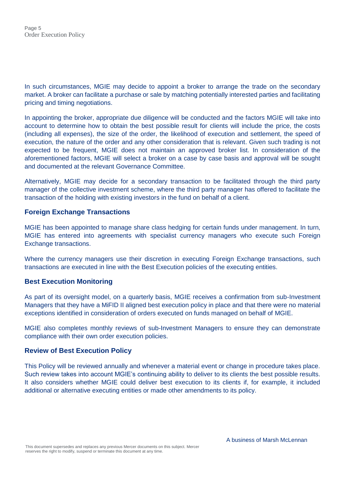In such circumstances, MGIE may decide to appoint a broker to arrange the trade on the secondary market. A broker can facilitate a purchase or sale by matching potentially interested parties and facilitating pricing and timing negotiations.

In appointing the broker, appropriate due diligence will be conducted and the factors MGIE will take into account to determine how to obtain the best possible result for clients will include the price, the costs (including all expenses), the size of the order, the likelihood of execution and settlement, the speed of execution, the nature of the order and any other consideration that is relevant. Given such trading is not expected to be frequent, MGIE does not maintain an approved broker list. In consideration of the aforementioned factors, MGIE will select a broker on a case by case basis and approval will be sought and documented at the relevant Governance Committee.

Alternatively, MGIE may decide for a secondary transaction to be facilitated through the third party manager of the collective investment scheme, where the third party manager has offered to facilitate the transaction of the holding with existing investors in the fund on behalf of a client.

#### **Foreign Exchange Transactions**

MGIE has been appointed to manage share class hedging for certain funds under management. In turn, MGIE has entered into agreements with specialist currency managers who execute such Foreign Exchange transactions.

Where the currency managers use their discretion in executing Foreign Exchange transactions, such transactions are executed in line with the Best Execution policies of the executing entities.

#### **Best Execution Monitoring**

As part of its oversight model, on a quarterly basis, MGIE receives a confirmation from sub-Investment Managers that they have a MiFID II aligned best execution policy in place and that there were no material exceptions identified in consideration of orders executed on funds managed on behalf of MGIE.

MGIE also completes monthly reviews of sub-Investment Managers to ensure they can demonstrate compliance with their own order execution policies.

#### **Review of Best Execution Policy**

This Policy will be reviewed annually and whenever a material event or change in procedure takes place. Such review takes into account MGIE's continuing ability to deliver to its clients the best possible results. It also considers whether MGIE could deliver best execution to its clients if, for example, it included additional or alternative executing entities or made other amendments to its policy.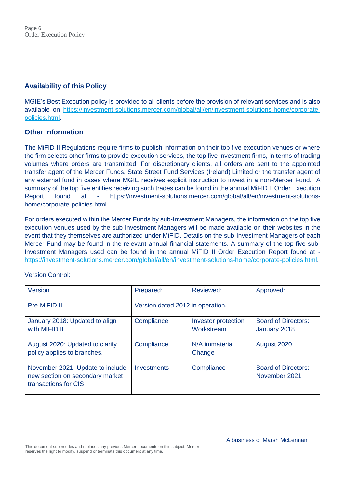# **Availability of this Policy**

MGIE's Best Execution policy is provided to all clients before the provision of relevant services and is also available on [https://investment-solutions.mercer.com/global/all/en/investment-solutions-home/corporate](https://investment-solutions.mercer.com/global/all/en/investment-solutions-home/corporate-policies.html)[policies.html.](https://investment-solutions.mercer.com/global/all/en/investment-solutions-home/corporate-policies.html)

### **Other information**

The MiFID II Regulations require firms to publish information on their top five execution venues or where the firm selects other firms to provide execution services, the top five investment firms, in terms of trading volumes where orders are transmitted. For discretionary clients, all orders are sent to the appointed transfer agent of the Mercer Funds, State Street Fund Services (Ireland) Limited or the transfer agent of any external fund in cases where MGIE receives explicit instruction to invest in a non-Mercer Fund. A summary of the top five entities receiving such trades can be found in the annual MiFID II Order Execution Report found at - https://investment-solutions.mercer.com/global/all/en/investment-solutionshome/corporate-policies.html.

For orders executed within the Mercer Funds by sub-Investment Managers, the information on the top five execution venues used by the sub-Investment Managers will be made available on their websites in the event that they themselves are authorized under MiFID. Details on the sub-Investment Managers of each Mercer Fund may be found in the relevant annual financial statements. A summary of the top five sub-Investment Managers used can be found in the annual MiFID II Order Execution Report found at [https://investment-solutions.mercer.com/global/all/en/investment-solutions-home/corporate-policies.html.](https://investment-solutions.mercer.com/global/all/en/investment-solutions-home/corporate-policies.html)

| <b>Version</b>                                                                              | Prepared:                        | Reviewed:                                | Approved:                                   |
|---------------------------------------------------------------------------------------------|----------------------------------|------------------------------------------|---------------------------------------------|
| Pre-MiFID II:                                                                               | Version dated 2012 in operation. |                                          |                                             |
| January 2018: Updated to align<br>with MIFID II                                             | Compliance                       | <b>Investor protection</b><br>Workstream | <b>Board of Directors:</b><br>January 2018  |
| August 2020: Updated to clarify<br>policy applies to branches.                              | Compliance                       | N/A immaterial<br>Change                 | August 2020                                 |
| November 2021: Update to include<br>new section on secondary market<br>transactions for CIS | Investments                      | Compliance                               | <b>Board of Directors:</b><br>November 2021 |

Version Control: